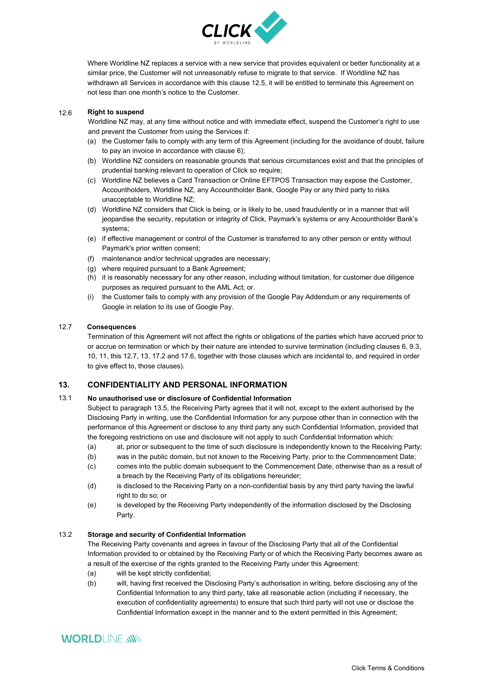

Where Worldline NZ replaces a service with a new service that provides equivalent or better functionality at a similar price, the Customer will not unreasonably refuse to migrate to that service. If Worldline NZ has withdrawn all Services in accordance with this clause 12.5, it will be entitled to terminate this Agreement on not less than one month's notice to the Customer.

#### 12.6 **Right to suspend**

Worldline NZ may, at any time without notice and with immediate effect, suspend the Customer's right to use and prevent the Customer from using the Services if:

- (a) the Customer fails to comply with any term of this Agreement (including for the avoidance of doubt, failure to pay an invoice in accordance with clause 6);
- (b) Worldline NZ considers on reasonable grounds that serious circumstances exist and that the principles of prudential banking relevant to operation of Click so require;
- (c) Worldline NZ believes a Card Transaction or Online EFTPOS Transaction may expose the Customer, Accountholders, Worldline NZ, any Accountholder Bank, Google Pay or any third party to risks unacceptable to Worldline NZ;
- (d) Worldline NZ considers that Click is being, or is likely to be, used fraudulently or in a manner that will jeopardise the security, reputation or integrity of Click, Worldline NZ's systems or any Accountholder Bank's systems;
- (e) if effective management or control of the Customer is transferred to any other person or entity without Worldline NZ's prior written consent;
- (f) maintenance and/or technical upgrades are necessary;
- (g) where required pursuant to a Bank Agreement;
- (h) it is reasonably necessary for any other reason, including without limitation, for customer due diligence purposes as required pursuant to the AML Act; or.
- (i) the Customer fails to comply with any provision of the Google Pay Addendum or any requirements of Google in relation to its use of Google Pay.

## 12.7 **Consequences**

Termination of this Agreement will not affect the rights or obligations of the parties which have accrued prior to or accrue on termination or which by their nature are intended to survive termination (including clauses 6, 9.3, 10, 11, this 12.7, 13, 17.2 and 17.6, together with those clauses which are incidental to, and required in order to give effect to, those clauses).

# **13. CONFIDENTIALITY AND PERSONAL INFORMATION**

### 13.1 **No unauthorised use or disclosure of Confidential Information**

Subject to paragraph 13.5, the Receiving Party agrees that it will not, except to the extent authorised by the Disclosing Party in writing, use the Confidential Information for any purpose other than in connection with the performance of this Agreement or disclose to any third party any such Confidential Information, provided that the foregoing restrictions on use and disclosure will not apply to such Confidential Information which:

- (a) at, prior or subsequent to the time of such disclosure is independently known to the Receiving Party;
- (b) was in the public domain, but not known to the Receiving Party, prior to the Commencement Date;
- (c) comes into the public domain subsequent to the Commencement Date, otherwise than as a result of a breach by the Receiving Party of its obligations hereunder;
- (d) is disclosed to the Receiving Party on a non-confidential basis by any third party having the lawful right to do so; or
- (e) is developed by the Receiving Party independently of the information disclosed by the Disclosing Party.

### 13.2 **Storage and security of Confidential Information**

The Receiving Party covenants and agrees in favour of the Disclosing Party that all of the Confidential Information provided to or obtained by the Receiving Party or of which the Receiving Party becomes aware as a result of the exercise of the rights granted to the Receiving Party under this Agreement:

- (a) will be kept strictly confidential;
- (b) will, having first received the Disclosing Party's authorisation in writing, before disclosing any of the Confidential Information to any third party, take all reasonable action (including if necessary, the execution of confidentiality agreements) to ensure that such third party will not use or disclose the Confidential Information except in the manner and to the extent permitted in this Agreement;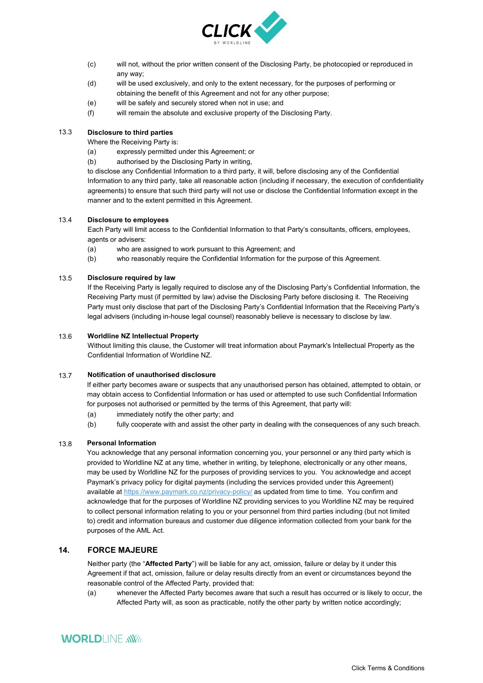

- (c) will not, without the prior written consent of the Disclosing Party, be photocopied or reproduced in any way;
- (d) will be used exclusively, and only to the extent necessary, for the purposes of performing or obtaining the benefit of this Agreement and not for any other purpose;
- (e) will be safely and securely stored when not in use; and
- (f) will remain the absolute and exclusive property of the Disclosing Party.

## 13.3 **Disclosure to third parties**

Where the Receiving Party is:

- (a) expressly permitted under this Agreement; or
- (b) authorised by the Disclosing Party in writing,

to disclose any Confidential Information to a third party, it will, before disclosing any of the Confidential Information to any third party, take all reasonable action (including if necessary, the execution of confidentiality agreements) to ensure that such third party will not use or disclose the Confidential Information except in the manner and to the extent permitted in this Agreement.

### 13.4 **Disclosure to employees**

Each Party will limit access to the Confidential Information to that Party's consultants, officers, employees, agents or advisers:

- (a) who are assigned to work pursuant to this Agreement; and
- (b) who reasonably require the Confidential Information for the purpose of this Agreement.

#### 13.5 **Disclosure required by law**

If the Receiving Party is legally required to disclose any of the Disclosing Party's Confidential Information, the Receiving Party must (if permitted by law) advise the Disclosing Party before disclosing it. The Receiving Party must only disclose that part of the Disclosing Party's Confidential Information that the Receiving Party's legal advisers (including in-house legal counsel) reasonably believe is necessary to disclose by law.

#### 13.6 **Worldline NZ Intellectual Property**

Without limiting this clause, the Customer will treat information about Worldline NZ's Intellectual Property as the Confidential Information of Worldline NZ.

#### 13.7 **Notification of unauthorised disclosure**

If either party becomes aware or suspects that any unauthorised person has obtained, attempted to obtain, or may obtain access to Confidential Information or has used or attempted to use such Confidential Information for purposes not authorised or permitted by the terms of this Agreement, that party will:

- (a) immediately notify the other party; and
- (b) fully cooperate with and assist the other party in dealing with the consequences of any such breach.

# 13.8 **Personal Information**

You acknowledge that any personal information concerning you, your personnel or any third party which is provided to Worldline NZ at any time, whether in writing, by telephone, electronically or any other means, may be used by Worldline NZ for the purposes of providing services to you. You acknowledge and accept Worldline NZ's privacy policy for digital payments (including the services provided under this Agreement) available at https://www.paymark.co.nz/privacy-policy/ as updated from time to time. You confirm and acknowledge that for the purposes of Worldline NZ providing services to you Worldline NZ may be required to collect personal information relating to you or your personnel from third parties including (but not limited to) credit and information bureaus and customer due diligence information collected from your bank for the purposes of the AML Act.

# **14. FORCE MAJEURE**

Neither party (the "**Affected Party**") will be liable for any act, omission, failure or delay by it under this Agreement if that act, omission, failure or delay results directly from an event or circumstances beyond the reasonable control of the Affected Party, provided that:

(a) whenever the Affected Party becomes aware that such a result has occurred or is likely to occur, the Affected Party will, as soon as practicable, notify the other party by written notice accordingly;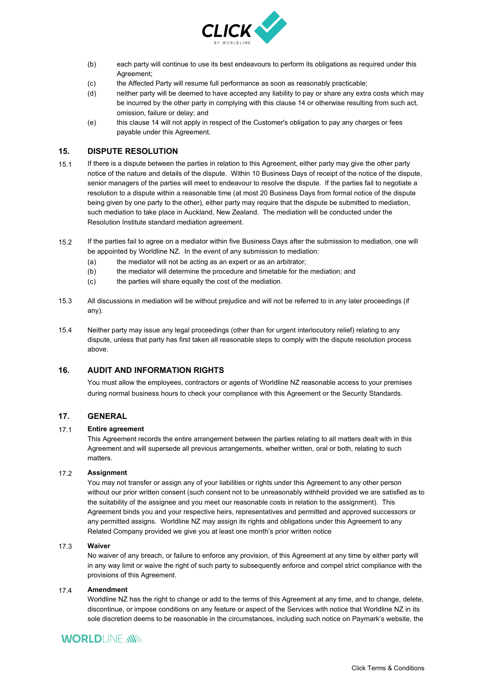

- (b) each party will continue to use its best endeavours to perform its obligations as required under this Agreement;
- (c) the Affected Party will resume full performance as soon as reasonably practicable;
- (d) neither party will be deemed to have accepted any liability to pay or share any extra costs which may be incurred by the other party in complying with this clause 14 or otherwise resulting from such act, omission, failure or delay; and
- (e) this clause 14 will not apply in respect of the Customer's obligation to pay any charges or fees payable under this Agreement.

## **15. DISPUTE RESOLUTION**

- 15.1 If there is a dispute between the parties in relation to this Agreement, either party may give the other party notice of the nature and details of the dispute. Within 10 Business Days of receipt of the notice of the dispute, senior managers of the parties will meet to endeavour to resolve the dispute. If the parties fail to negotiate a resolution to a dispute within a reasonable time (at most 20 Business Days from formal notice of the dispute being given by one party to the other), either party may require that the dispute be submitted to mediation, such mediation to take place in Auckland, New Zealand. The mediation will be conducted under the Resolution Institute standard mediation agreement.
- 15.2 If the parties fail to agree on a mediator within five Business Days after the submission to mediation, one will be appointed by Worldline NZ. In the event of any submission to mediation:
	- (a) the mediator will not be acting as an expert or as an arbitrator;
	- (b) the mediator will determine the procedure and timetable for the mediation; and
	- (c) the parties will share equally the cost of the mediation.
- 15.3 All discussions in mediation will be without prejudice and will not be referred to in any later proceedings (if any).
- 15.4 Neither party may issue any legal proceedings (other than for urgent interlocutory relief) relating to any dispute, unless that party has first taken all reasonable steps to comply with the dispute resolution process above.

# **16. AUDIT AND INFORMATION RIGHTS**

You must allow the employees, contractors or agents of Worldline NZ reasonable access to your premises during normal business hours to check your compliance with this Agreement or the Security Standards.

### **17. GENERAL**

#### 17.1 **Entire agreement**

This Agreement records the entire arrangement between the parties relating to all matters dealt with in this Agreement and will supersede all previous arrangements, whether written, oral or both, relating to such matters.

#### 17.2 **Assignment**

You may not transfer or assign any of your liabilities or rights under this Agreement to any other person without our prior written consent (such consent not to be unreasonably withheld provided we are satisfied as to the suitability of the assignee and you meet our reasonable costs in relation to the assignment). This Agreement binds you and your respective heirs, representatives and permitted and approved successors or any permitted assigns. Worldline NZ may assign its rights and obligations under this Agreement to any Related Company provided we give you at least one month's prior written notice

#### 17.3 **Waiver**

No waiver of any breach, or failure to enforce any provision, of this Agreement at any time by either party will in any way limit or waive the right of such party to subsequently enforce and compel strict compliance with the provisions of this Agreement.

#### 17.4 **Amendment**

Worldline NZ has the right to change or add to the terms of this Agreement at any time, and to change, delete, discontinue, or impose conditions on any feature or aspect of the Services with notice that Worldline NZ in its sole discretion deems to be reasonable in the circumstances, including such notice on Worldline NZ's website, the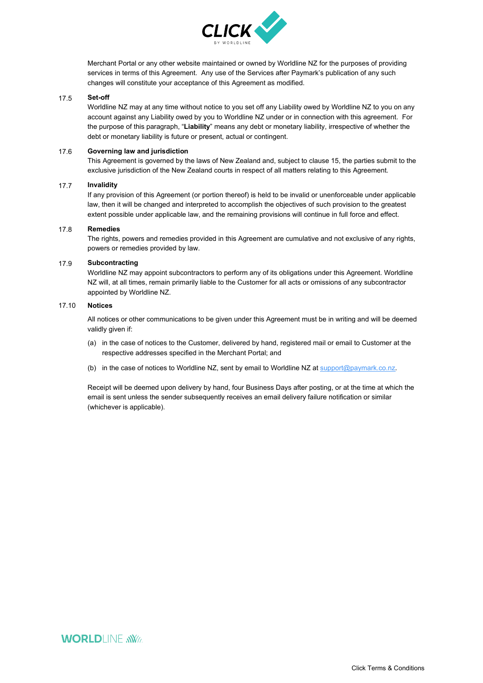

Merchant Portal or any other website maintained or owned by Worldline NZ for the purposes of providing services in terms of this Agreement. Any use of the Services after Worldline NZ's publication of any such changes will constitute your acceptance of this Agreement as modified.

#### 17.5 **Set-off**

Worldline NZ may at any time without notice to you set off any Liability owed by Worldline NZ to you on any account against any Liability owed by you to Worldline NZ under or in connection with this agreement. For the purpose of this paragraph, "**Liability**" means any debt or monetary liability, irrespective of whether the debt or monetary liability is future or present, actual or contingent.

#### 17.6 **Governing law and jurisdiction**

This Agreement is governed by the laws of New Zealand and, subject to clause 15, the parties submit to the exclusive jurisdiction of the New Zealand courts in respect of all matters relating to this Agreement.

#### 17.7 **Invalidity**

If any provision of this Agreement (or portion thereof) is held to be invalid or unenforceable under applicable law, then it will be changed and interpreted to accomplish the objectives of such provision to the greatest extent possible under applicable law, and the remaining provisions will continue in full force and effect.

#### 17.8 **Remedies**

The rights, powers and remedies provided in this Agreement are cumulative and not exclusive of any rights, powers or remedies provided by law.

#### 17.9 **Subcontracting**

Worldline NZ may appoint subcontractors to perform any of its obligations under this Agreement. Worldline NZ will, at all times, remain primarily liable to the Customer for all acts or omissions of any subcontractor appointed by Worldline NZ.

## 17.10 **Notices**

All notices or other communications to be given under this Agreement must be in writing and will be deemed validly given if:

- (a) in the case of notices to the Customer, delivered by hand, registered mail or email to Customer at the respective addresses specified in the Merchant Portal; and
- (b) in the case of notices to Worldline NZ, sent by email to Worldline NZ at support@paymark.co.nz.

Receipt will be deemed upon delivery by hand, four Business Days after posting, or at the time at which the email is sent unless the sender subsequently receives an email delivery failure notification or similar (whichever is applicable).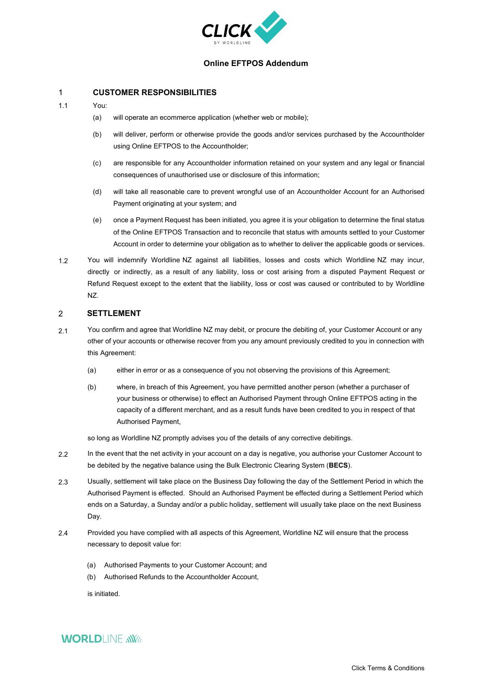

# **Online EFTPOS Addendum**

# 1 **CUSTOMER RESPONSIBILITIES**

- 1.1 You:
	- (a) will operate an ecommerce application (whether web or mobile);
	- (b) will deliver, perform or otherwise provide the goods and/or services purchased by the Accountholder using Online EFTPOS to the Accountholder;
	- (c) are responsible for any Accountholder information retained on your system and any legal or financial consequences of unauthorised use or disclosure of this information;
	- (d) will take all reasonable care to prevent wrongful use of an Accountholder Account for an Authorised Payment originating at your system; and
	- (e) once a Payment Request has been initiated, you agree it is your obligation to determine the final status of the Online EFTPOS Transaction and to reconcile that status with amounts settled to your Customer Account in order to determine your obligation as to whether to deliver the applicable goods or services.
- 1.2 You will indemnify Worldline NZ against all liabilities, losses and costs which Worldline NZ may incur, directly or indirectly, as a result of any liability, loss or cost arising from a disputed Payment Request or Refund Request except to the extent that the liability, loss or cost was caused or contributed to by Worldline NZ.

#### 2 **SETTLEMENT**

- 2.1 You confirm and agree that Worldline NZ may debit, or procure the debiting of, your Customer Account or any other of your accounts or otherwise recover from you any amount previously credited to you in connection with this Agreement:
	- (a) either in error or as a consequence of you not observing the provisions of this Agreement;
	- (b) where, in breach of this Agreement, you have permitted another person (whether a purchaser of your business or otherwise) to effect an Authorised Payment through Online EFTPOS acting in the capacity of a different merchant, and as a result funds have been credited to you in respect of that Authorised Payment,

so long as Worldline NZ promptly advises you of the details of any corrective debitings.

- 2.2 In the event that the net activity in your account on a day is negative, you authorise your Customer Account to be debited by the negative balance using the Bulk Electronic Clearing System (**BECS**).
- 2.3 Usually, settlement will take place on the Business Day following the day of the Settlement Period in which the Authorised Payment is effected. Should an Authorised Payment be effected during a Settlement Period which ends on a Saturday, a Sunday and/or a public holiday, settlement will usually take place on the next Business Day.
- 2.4 Provided you have complied with all aspects of this Agreement, Worldline NZ will ensure that the process necessary to deposit value for:
	- (a) Authorised Payments to your Customer Account; and
	- (b) Authorised Refunds to the Accountholder Account,

is initiated.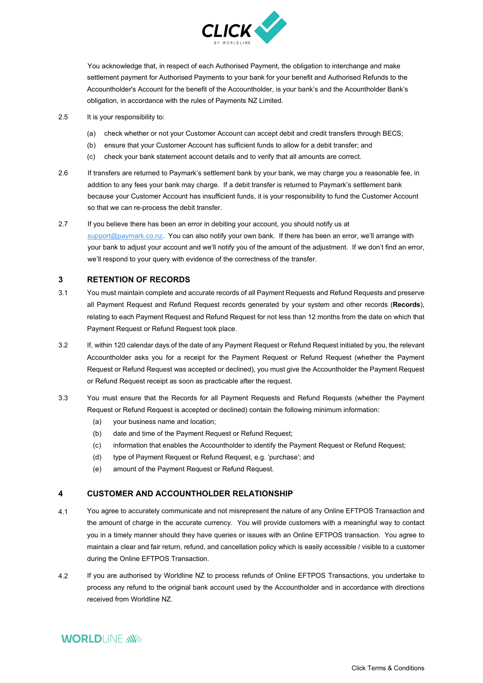

You acknowledge that, in respect of each Authorised Payment, the obligation to interchange and make settlement payment for Authorised Payments to your bank for your benefit and Authorised Refunds to the Accountholder's Account for the benefit of the Accountholder, is your bank's and the Acountholder Bank's obligation, in accordance with the rules of Payments NZ Limited.

- 2.5 It is your responsibility to:
	- (a) check whether or not your Customer Account can accept debit and credit transfers through BECS;
	- (b) ensure that your Customer Account has sufficient funds to allow for a debit transfer; and
	- (c) check your bank statement account details and to verify that all amounts are correct.
- 2.6 If transfers are returned to Worldline NZ's settlement bank by your bank, we may charge you a reasonable fee, in addition to any fees your bank may charge. If a debit transfer is returned to Worldline NZ's settlement bank because your Customer Account has insufficient funds, it is your responsibility to fund the Customer Account so that we can re-process the debit transfer.
- 2.7 If you believe there has been an error in debiting your account, you should notify us at support@paymark.co.nz. You can also notify your own bank. If there has been an error, we'll arrange with your bank to adjust your account and we'll notify you of the amount of the adjustment. If we don't find an error, we'll respond to your query with evidence of the correctness of the transfer.

#### **3 RETENTION OF RECORDS**

- 3.1 You must maintain complete and accurate records of all Payment Requests and Refund Requests and preserve all Payment Request and Refund Request records generated by your system and other records (**Records**), relating to each Payment Request and Refund Request for not less than 12 months from the date on which that Payment Request or Refund Request took place.
- 3.2 If, within 120 calendar days of the date of any Payment Request or Refund Request initiated by you, the relevant Accountholder asks you for a receipt for the Payment Request or Refund Request (whether the Payment Request or Refund Request was accepted or declined), you must give the Accountholder the Payment Request or Refund Request receipt as soon as practicable after the request.
- 3.3 You must ensure that the Records for all Payment Requests and Refund Requests (whether the Payment Request or Refund Request is accepted or declined) contain the following minimum information:
	- (a) your business name and location;
	- (b) date and time of the Payment Request or Refund Request;
	- (c) information that enables the Accountholder to identify the Payment Request or Refund Request;
	- (d) type of Payment Request or Refund Request, e.g. 'purchase'; and
	- (e) amount of the Payment Request or Refund Request.

#### **4 CUSTOMER AND ACCOUNTHOLDER RELATIONSHIP**

- 4.1 You agree to accurately communicate and not misrepresent the nature of any Online EFTPOS Transaction and the amount of charge in the accurate currency. You will provide customers with a meaningful way to contact you in a timely manner should they have queries or issues with an Online EFTPOS transaction. You agree to maintain a clear and fair return, refund, and cancellation policy which is easily accessible / visible to a customer during the Online EFTPOS Transaction.
- 4.2 If you are authorised by Worldline NZ to process refunds of Online EFTPOS Transactions, you undertake to process any refund to the original bank account used by the Accountholder and in accordance with directions received from Worldline NZ.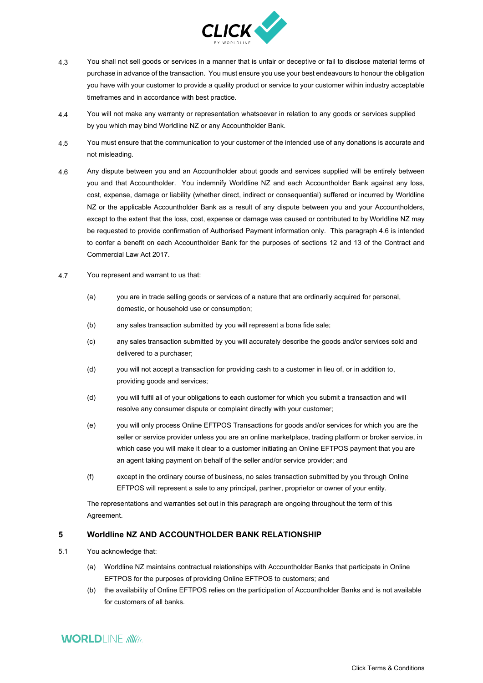

- 4.3 You shall not sell goods or services in a manner that is unfair or deceptive or fail to disclose material terms of purchase in advance of the transaction. You must ensure you use your best endeavours to honour the obligation you have with your customer to provide a quality product or service to your customer within industry acceptable timeframes and in accordance with best practice.
- 4.4 You will not make any warranty or representation whatsoever in relation to any goods or services supplied by you which may bind Worldline NZ or any Accountholder Bank.
- 4.5 You must ensure that the communication to your customer of the intended use of any donations is accurate and not misleading.
- 4.6 Any dispute between you and an Accountholder about goods and services supplied will be entirely between you and that Accountholder. You indemnify Worldline NZ and each Accountholder Bank against any loss, cost, expense, damage or liability (whether direct, indirect or consequential) suffered or incurred by Worldline NZ or the applicable Accountholder Bank as a result of any dispute between you and your Accountholders, except to the extent that the loss, cost, expense or damage was caused or contributed to by Worldline NZ may be requested to provide confirmation of Authorised Payment information only. This paragraph 4.6 is intended to confer a benefit on each Accountholder Bank for the purposes of sections 12 and 13 of the Contract and Commercial Law Act 2017.
- 4.7 You represent and warrant to us that:
	- (a) you are in trade selling goods or services of a nature that are ordinarily acquired for personal, domestic, or household use or consumption;
	- (b) any sales transaction submitted by you will represent a bona fide sale;
	- (c) any sales transaction submitted by you will accurately describe the goods and/or services sold and delivered to a purchaser;
	- (d) you will not accept a transaction for providing cash to a customer in lieu of, or in addition to, providing goods and services;
	- (d) you will fulfil all of your obligations to each customer for which you submit a transaction and will resolve any consumer dispute or complaint directly with your customer;
	- (e) you will only process Online EFTPOS Transactions for goods and/or services for which you are the seller or service provider unless you are an online marketplace, trading platform or broker service, in which case you will make it clear to a customer initiating an Online EFTPOS payment that you are an agent taking payment on behalf of the seller and/or service provider; and
	- (f) except in the ordinary course of business, no sales transaction submitted by you through Online EFTPOS will represent a sale to any principal, partner, proprietor or owner of your entity.

The representations and warranties set out in this paragraph are ongoing throughout the term of this Agreement.

#### **5 Worldline NZ AND ACCOUNTHOLDER BANK RELATIONSHIP**

- 5.1 You acknowledge that:
	- (a) Worldline NZ maintains contractual relationships with Accountholder Banks that participate in Online EFTPOS for the purposes of providing Online EFTPOS to customers; and
	- (b) the availability of Online EFTPOS relies on the participation of Accountholder Banks and is not available for customers of all banks.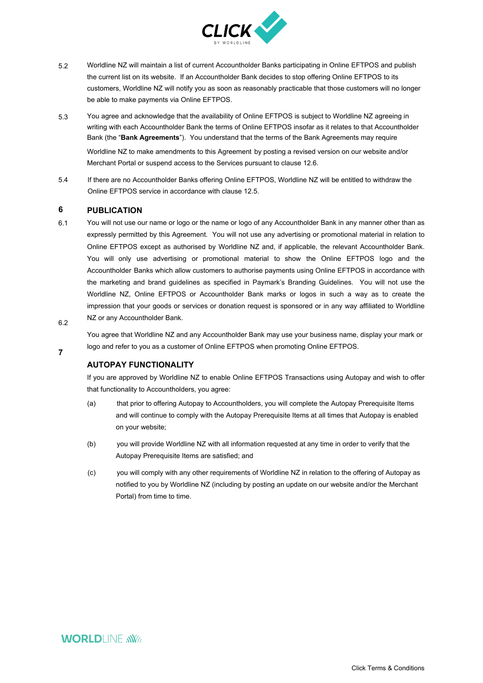

- 5.2 Worldline NZ will maintain a list of current Accountholder Banks participating in Online EFTPOS and publish the current list on its website. If an Accountholder Bank decides to stop offering Online EFTPOS to its customers, Worldline NZ will notify you as soon as reasonably practicable that those customers will no longer be able to make payments via Online EFTPOS.
- 5.3 You agree and acknowledge that the availability of Online EFTPOS is subject to Worldline NZ agreeing in writing with each Accountholder Bank the terms of Online EFTPOS insofar as it relates to that Accountholder Bank (the "**Bank Agreements**"). You understand that the terms of the Bank Agreements may require Worldline NZ to make amendments to this Agreement by posting a revised version on our website and/or Merchant Portal or suspend access to the Services pursuant to clause 12.6.
- 5.4 If there are no Accountholder Banks offering Online EFTPOS, Worldline NZ will be entitled to withdraw the Online EFTPOS service in accordance with clause 12.5.

#### **6 PUBLICATION**

- 6.1 6.2 You will not use our name or logo or the name or logo of any Accountholder Bank in any manner other than as expressly permitted by this Agreement. You will not use any advertising or promotional material in relation to Online EFTPOS except as authorised by Worldline NZ and, if applicable, the relevant Accountholder Bank. You will only use advertising or promotional material to show the Online EFTPOS logo and the Accountholder Banks which allow customers to authorise payments using Online EFTPOS in accordance with the marketing and brand guidelines as specified in Worldline NZ's Branding Guidelines. You will not use the Worldline NZ, Online EFTPOS or Accountholder Bank marks or logos in such a way as to create the impression that your goods or services or donation request is sponsored or in any way affiliated to Worldline NZ or any Accountholder Bank.
- 

**7** 

You agree that Worldline NZ and any Accountholder Bank may use your business name, display your mark or logo and refer to you as a customer of Online EFTPOS when promoting Online EFTPOS.

# **AUTOPAY FUNCTIONALITY**

If you are approved by Worldline NZ to enable Online EFTPOS Transactions using Autopay and wish to offer that functionality to Accountholders, you agree:

- (a) that prior to offering Autopay to Accountholders, you will complete the Autopay Prerequisite Items and will continue to comply with the Autopay Prerequisite Items at all times that Autopay is enabled on your website;
- (b) you will provide Worldline NZ with all information requested at any time in order to verify that the Autopay Prerequisite Items are satisfied; and
- (c) you will comply with any other requirements of Worldline NZ in relation to the offering of Autopay as notified to you by Worldline NZ (including by posting an update on our website and/or the Merchant Portal) from time to time.